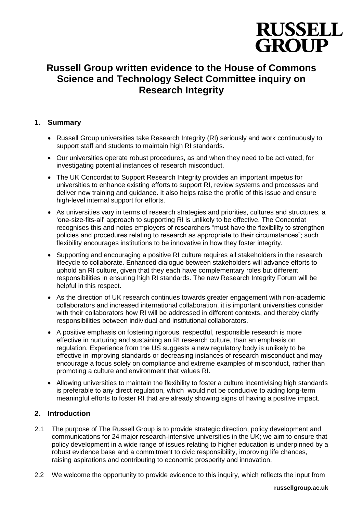

# **Russell Group written evidence to the House of Commons Science and Technology Select Committee inquiry on Research Integrity**

## **1. Summary**

- Russell Group universities take Research Integrity (RI) seriously and work continuously to support staff and students to maintain high RI standards.
- Our universities operate robust procedures, as and when they need to be activated, for investigating potential instances of research misconduct.
- The UK Concordat to Support Research Integrity provides an important impetus for universities to enhance existing efforts to support RI, review systems and processes and deliver new training and guidance. It also helps raise the profile of this issue and ensure high-level internal support for efforts.
- As universities vary in terms of research strategies and priorities, cultures and structures, a 'one-size-fits-all' approach to supporting RI is unlikely to be effective. The Concordat recognises this and notes employers of researchers "must have the flexibility to strengthen policies and procedures relating to research as appropriate to their circumstances"; such flexibility encourages institutions to be innovative in how they foster integrity.
- Supporting and encouraging a positive RI culture requires all stakeholders in the research lifecycle to collaborate. Enhanced dialogue between stakeholders will advance efforts to uphold an RI culture, given that they each have complementary roles but different responsibilities in ensuring high RI standards. The new Research Integrity Forum will be helpful in this respect.
- As the direction of UK research continues towards greater engagement with non-academic collaborators and increased international collaboration, it is important universities consider with their collaborators how RI will be addressed in different contexts, and thereby clarify responsibilities between individual and institutional collaborators.
- A positive emphasis on fostering rigorous, respectful, responsible research is more effective in nurturing and sustaining an RI research culture, than an emphasis on regulation. Experience from the US suggests a new regulatory body is unlikely to be effective in improving standards or decreasing instances of research misconduct and may encourage a focus solely on compliance and extreme examples of misconduct, rather than promoting a culture and environment that values RI.
- Allowing universities to maintain the flexibility to foster a culture incentivising high standards is preferable to any direct regulation, which would not be conducive to aiding long-term meaningful efforts to foster RI that are already showing signs of having a positive impact.

#### **2. Introduction**

- 2.1 The purpose of The Russell Group is to provide strategic direction, policy development and communications for 24 major research-intensive universities in the UK; we aim to ensure that policy development in a wide range of issues relating to higher education is underpinned by a robust evidence base and a commitment to civic responsibility, improving life chances, raising aspirations and contributing to economic prosperity and innovation.
- 2.2 We welcome the opportunity to provide evidence to this inquiry, which reflects the input from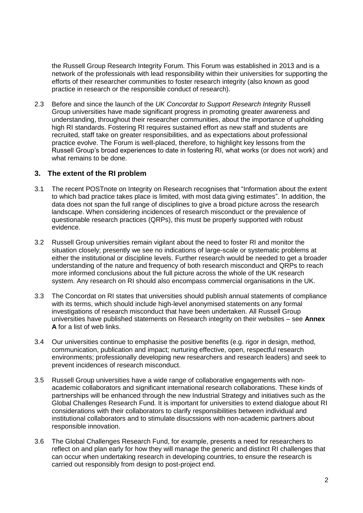the Russell Group Research Integrity Forum. This Forum was established in 2013 and is a network of the professionals with lead responsibility within their universities for supporting the efforts of their researcher communities to foster research integrity (also known as good practice in research or the responsible conduct of research).

2.3 Before and since the launch of the *UK Concordat to Support Research Integrity* Russell Group universities have made significant progress in promoting greater awareness and understanding, throughout their researcher communities, about the importance of upholding high RI standards. Fostering RI requires sustained effort as new staff and students are recruited, staff take on greater responsibilities, and as expectations about professional practice evolve. The Forum is well-placed, therefore, to highlight key lessons from the Russell Group's broad experiences to date in fostering RI, what works (or does not work) and what remains to be done.

#### **3. The extent of the RI problem**

- 3.1 The recent POSTnote on Integrity on Research recognises that "Information about the extent to which bad practice takes place is limited, with most data giving estimates". In addition, the data does not span the full range of disciplines to give a broad picture across the research landscape. When considering incidences of research misconduct or the prevalence of questionable research practices (QRPs), this must be properly supported with robust evidence.
- 3.2 Russell Group universities remain vigilant about the need to foster RI and monitor the situation closely; presently we see no indications of large-scale or systematic problems at either the institutional or discipline levels. Further research would be needed to get a broader understanding of the nature and frequency of both research misconduct and QRPs to reach more informed conclusions about the full picture across the whole of the UK research system. Any research on RI should also encompass commercial organisations in the UK.
- 3.3 The Concordat on RI states that universities should publish annual statements of compliance with its terms, which should include high-level anonymised statements on any formal investigations of research misconduct that have been undertaken. All Russell Group universities have published statements on Research integrity on their websites – see **Annex A** for a list of web links.
- 3.4 Our universities continue to emphasise the positive benefits (e.g. rigor in design, method, communication, publication and impact; nurturing effective, open, respectful research environments; professionally developing new researchers and research leaders) and seek to prevent incidences of research misconduct.
- 3.5 Russell Group universities have a wide range of collaborative engagements with nonacademic collaborators and significant international research collaborations. These kinds of partnerships will be enhanced through the new Industrial Strategy and initiatives such as the Global Challenges Research Fund. It is important for universities to extend dialogue about RI considerations with their collaborators to clarify responsibilities between individual and institutional collaborators and to stimulate disucssions with non-academic partners about responsible innovation.
- 3.6 The Global Challenges Research Fund, for example, presents a need for researchers to reflect on and plan early for how they will manage the generic and distinct RI challenges that can occur when undertaking research in developing countries, to ensure the research is carried out responsibly from design to post-project end.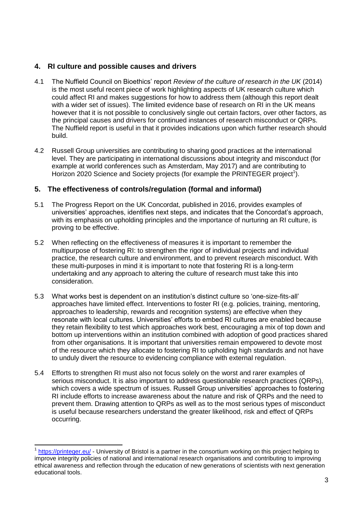## **4. RI culture and possible causes and drivers**

- 4.1 The Nuffield Council on Bioethics' report *Review of the culture of research in the UK* (2014) is the most useful recent piece of work highlighting aspects of UK research culture which could affect RI and makes suggestions for how to address them (although this report dealt with a wider set of issues). The limited evidence base of research on RI in the UK means however that it is not possible to conclusively single out certain factors, over other factors, as the principal causes and drivers for continued instances of research misconduct or QRPs. The Nuffield report is useful in that it provides indications upon which further research should build.
- 4.2 Russell Group universities are contributing to sharing good practices at the international level. They are participating in international discussions about integrity and misconduct (for example at world conferences such as Amsterdam, May 2017) and are contributing to Horizon 2020 Science and Society projects (for example the PRINTEGER project<sup>1</sup>).

### **5. The effectiveness of controls/regulation (formal and informal)**

- 5.1 The Progress Report on the UK Concordat, published in 2016, provides examples of universities' approaches, identifies next steps, and indicates that the Concordat's approach, with its emphasis on upholding principles and the importance of nurturing an RI culture, is proving to be effective.
- 5.2 When reflecting on the effectiveness of measures it is important to remember the multipurpose of fostering RI: to strengthen the rigor of individual projects and individual practice, the research culture and environment, and to prevent research misconduct. With these multi-purposes in mind it is important to note that fostering RI is a long-term undertaking and any approach to altering the culture of research must take this into consideration.
- 5.3 What works best is dependent on an institution's distinct culture so 'one-size-fits-all' approaches have limited effect. Interventions to foster RI (e.g. policies, training, mentoring, approaches to leadership, rewards and recognition systems) are effective when they resonate with local cultures. Universities' efforts to embed RI cultures are enabled because they retain flexibility to test which approaches work best, encouraging a mix of top down and bottom up interventions within an institution combined with adoption of good practices shared from other organisations. It is important that universities remain empowered to devote most of the resource which they allocate to fostering RI to upholding high standards and not have to unduly divert the resource to evidencing compliance with external regulation.
- 5.4 Efforts to strengthen RI must also not focus solely on the worst and rarer examples of serious misconduct. It is also important to address questionable research practices (QRPs), which covers a wide spectrum of issues. Russell Group universities' approaches to fostering RI include efforts to increase awareness about the nature and risk of QRPs and the need to prevent them. Drawing attention to QRPs as well as to the most serious types of misconduct is useful because researchers understand the greater likelihood, risk and effect of QRPs occurring.

-

<sup>1</sup> <https://printeger.eu/> - University of Bristol is a partner in the consortium working on this project helping to improve integrity policies of national and international research organisations and contributing to improving ethical awareness and reflection through the education of new generations of scientists with next generation educational tools.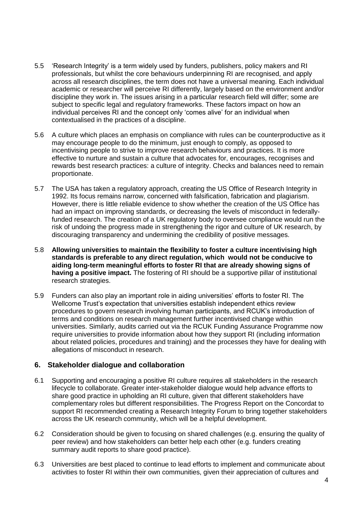- 5.5 'Research Integrity' is a term widely used by funders, publishers, policy makers and RI professionals, but whilst the core behaviours underpinning RI are recognised, and apply across all research disciplines, the term does not have a universal meaning. Each individual academic or researcher will perceive RI differently, largely based on the environment and/or discipline they work in. The issues arising in a particular research field will differ; some are subject to specific legal and regulatory frameworks. These factors impact on how an individual perceives RI and the concept only 'comes alive' for an individual when contextualised in the practices of a discipline.
- 5.6 A culture which places an emphasis on compliance with rules can be counterproductive as it may encourage people to do the minimum, just enough to comply, as opposed to incentivising people to strive to improve research behaviours and practices. It is more effective to nurture and sustain a culture that advocates for, encourages, recognises and rewards best research practices: a culture of integrity. Checks and balances need to remain proportionate.
- 5.7 The USA has taken a regulatory approach, creating the US Office of Research Integrity in 1992. Its focus remains narrow, concerned with falsification, fabrication and plagiarism. However, there is little reliable evidence to show whether the creation of the US Office has had an impact on improving standards, or decreasing the levels of misconduct in federallyfunded research. The creation of a UK regulatory body to oversee compliance would run the risk of undoing the progress made in strengthening the rigor and culture of UK research, by discouraging transparency and undermining the credibility of positive messages.
- 5.8 **Allowing universities to maintain the flexibility to foster a culture incentivising high standards is preferable to any direct regulation, which would not be conducive to aiding long-term meaningful efforts to foster RI that are already showing signs of having a positive impact.** The fostering of RI should be a supportive pillar of institutional research strategies.
- 5.9 Funders can also play an important role in aiding universities' efforts to foster RI. The Wellcome Trust's expectation that universities establish independent ethics review procedures to govern research involving human participants, and RCUK's introduction of terms and conditions on research management further incentivised change within universities. Similarly, audits carried out via the RCUK Funding Assurance Programme now require universities to provide information about how they support RI (including information about related policies, procedures and training) and the processes they have for dealing with allegations of misconduct in research.

#### **6. Stakeholder dialogue and collaboration**

- 6.1 Supporting and encouraging a positive RI culture requires all stakeholders in the research lifecycle to collaborate. Greater inter-stakeholder dialogue would help advance efforts to share good practice in upholding an RI culture, given that different stakeholders have complementary roles but different responsibilities. The Progress Report on the Concordat to support RI recommended creating a Research Integrity Forum to bring together stakeholders across the UK research community, which will be a helpful development.
- 6.2 Consideration should be given to focusing on shared challenges (e.g. ensuring the quality of peer review) and how stakeholders can better help each other (e.g. funders creating summary audit reports to share good practice).
- 6.3 Universities are best placed to continue to lead efforts to implement and communicate about activities to foster RI within their own communities, given their appreciation of cultures and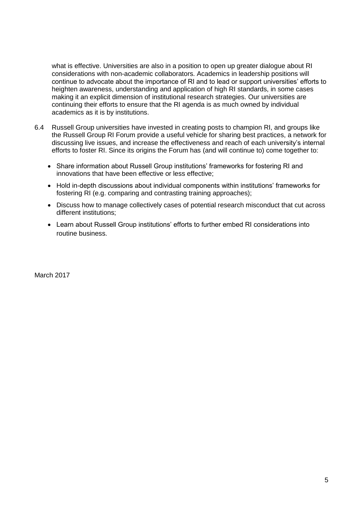what is effective. Universities are also in a position to open up greater dialogue about RI considerations with non-academic collaborators. Academics in leadership positions will continue to advocate about the importance of RI and to lead or support universities' efforts to heighten awareness, understanding and application of high RI standards, in some cases making it an explicit dimension of institutional research strategies. Our universities are continuing their efforts to ensure that the RI agenda is as much owned by individual academics as it is by institutions.

- 6.4 Russell Group universities have invested in creating posts to champion RI, and groups like the Russell Group RI Forum provide a useful vehicle for sharing best practices, a network for discussing live issues, and increase the effectiveness and reach of each university's internal efforts to foster RI. Since its origins the Forum has (and will continue to) come together to:
	- Share information about Russell Group institutions' frameworks for fostering RI and innovations that have been effective or less effective;
	- Hold in-depth discussions about individual components within institutions' frameworks for fostering RI (e.g. comparing and contrasting training approaches);
	- Discuss how to manage collectively cases of potential research misconduct that cut across different institutions;
	- Learn about Russell Group institutions' efforts to further embed RI considerations into routine business.

March 2017